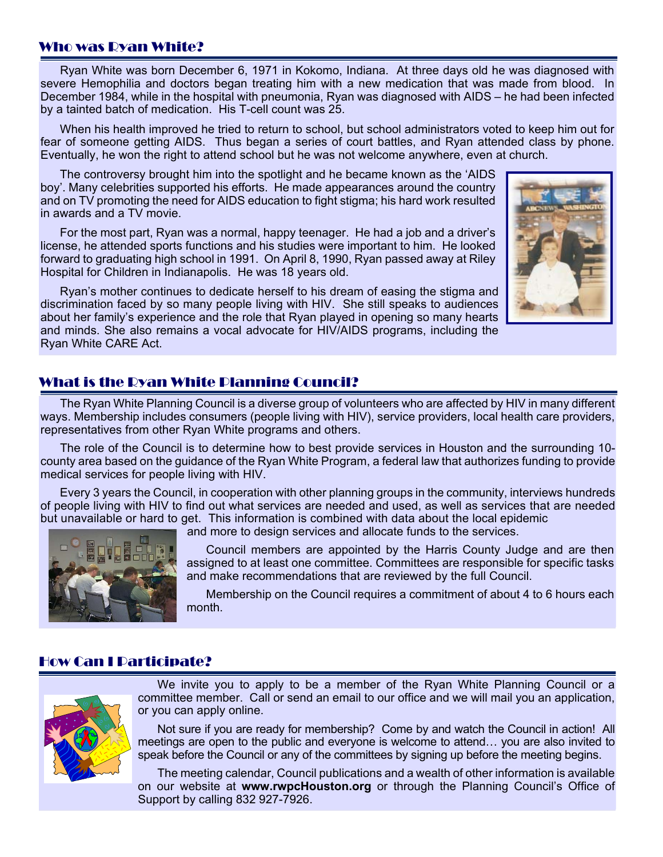## Who was Ryan White?

Ryan White was born December 6, 1971 in Kokomo, Indiana. At three days old he was diagnosed with severe Hemophilia and doctors began treating him with a new medication that was made from blood. In December 1984, while in the hospital with pneumonia, Ryan was diagnosed with AIDS – he had been infected by a tainted batch of medication. His T-cell count was 25.

When his health improved he tried to return to school, but school administrators voted to keep him out for fear of someone getting AIDS. Thus began a series of court battles, and Ryan attended class by phone. Eventually, he won the right to attend school but he was not welcome anywhere, even at church.

The controversy brought him into the spotlight and he became known as the 'AIDS boy'. Many celebrities supported his efforts. He made appearances around the country and on TV promoting the need for AIDS education to fight stigma; his hard work resulted in awards and a TV movie.

For the most part, Ryan was a normal, happy teenager. He had a job and a driver's license, he attended sports functions and his studies were important to him. He looked forward to graduating high school in 1991. On April 8, 1990, Ryan passed away at Riley Hospital for Children in Indianapolis. He was 18 years old.

Ryan's mother continues to dedicate herself to his dream of easing the stigma and discrimination faced by so many people living with HIV. She still speaks to audiences about her family's experience and the role that Ryan played in opening so many hearts and minds. She also remains a vocal advocate for HIV/AIDS programs, including the Ryan White CARE Act.



## What is the Ryan White Planning Council?

The Ryan White Planning Council is a diverse group of volunteers who are affected by HIV in many different ways. Membership includes consumers (people living with HIV), service providers, local health care providers, representatives from other Ryan White programs and others.

The role of the Council is to determine how to best provide services in Houston and the surrounding 10 county area based on the guidance of the Ryan White Program, a federal law that authorizes funding to provide medical services for people living with HIV.

Every 3 years the Council, in cooperation with other planning groups in the community, interviews hundreds of people living with HIV to find out what services are needed and used, as well as services that are needed but unavailable or hard to get. This information is combined with data about the local epidemic

and more to design services and allocate funds to the services.



Council members are appointed by the Harris County Judge and are then assigned to at least one committee. Committees are responsible for specific tasks and make recommendations that are reviewed by the full Council.

Membership on the Council requires a commitment of about 4 to 6 hours each month.

## How Can I Participate?



We invite you to apply to be a member of the Ryan White Planning Council or a committee member. Call or send an email to our office and we will mail you an application, or you can apply online.

Not sure if you are ready for membership? Come by and watch the Council in action! All meetings are open to the public and everyone is welcome to attend… you are also invited to speak before the Council or any of the committees by signing up before the meeting begins.

The meeting calendar, Council publications and a wealth of other information is available on our website at **www.rwpcHouston.org** or through the Planning Council's Office of Support by calling 832 927-7926.